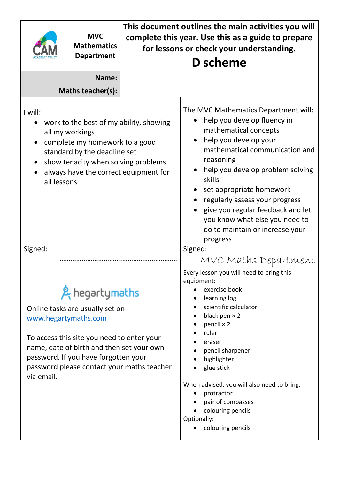|                                                                                                                                                                                                                                                     | <b>MVC</b><br><b>Mathematics</b><br><b>Department</b>                                                                                                                                                                              | This document outlines the main activities you will<br>complete this year. Use this as a guide to prepare<br>for lessons or check your understanding.<br>D scheme |                                                                                                                                                                                                                                                                                                                                                                                            |  |  |
|-----------------------------------------------------------------------------------------------------------------------------------------------------------------------------------------------------------------------------------------------------|------------------------------------------------------------------------------------------------------------------------------------------------------------------------------------------------------------------------------------|-------------------------------------------------------------------------------------------------------------------------------------------------------------------|--------------------------------------------------------------------------------------------------------------------------------------------------------------------------------------------------------------------------------------------------------------------------------------------------------------------------------------------------------------------------------------------|--|--|
|                                                                                                                                                                                                                                                     | Name:                                                                                                                                                                                                                              |                                                                                                                                                                   |                                                                                                                                                                                                                                                                                                                                                                                            |  |  |
|                                                                                                                                                                                                                                                     | Maths teacher(s):                                                                                                                                                                                                                  |                                                                                                                                                                   |                                                                                                                                                                                                                                                                                                                                                                                            |  |  |
| I will:<br>work to the best of my ability, showing<br>$\bullet$<br>all my workings<br>complete my homework to a good<br>standard by the deadline set<br>show tenacity when solving problems<br>always have the correct equipment for<br>all lessons |                                                                                                                                                                                                                                    |                                                                                                                                                                   | The MVC Mathematics Department will:<br>help you develop fluency in<br>mathematical concepts<br>help you develop your<br>mathematical communication and<br>reasoning<br>help you develop problem solving<br>skills<br>set appropriate homework<br>regularly assess your progress<br>give you regular feedback and let<br>you know what else you need to<br>do to maintain or increase your |  |  |
| Signed:                                                                                                                                                                                                                                             |                                                                                                                                                                                                                                    |                                                                                                                                                                   | progress<br>Signed:<br>MVC Maths Department                                                                                                                                                                                                                                                                                                                                                |  |  |
| www.hegartymaths.com<br>via email.                                                                                                                                                                                                                  | & hegartymaths<br>Online tasks are usually set on<br>To access this site you need to enter your<br>name, date of birth and then set your own<br>password. If you have forgotten your<br>password please contact your maths teacher |                                                                                                                                                                   | Every lesson you will need to bring this<br>equipment:<br>exercise book<br>learning log<br>scientific calculator<br>black pen $\times$ 2<br>pencil $\times$ 2<br>ruler<br>eraser<br>pencil sharpener<br>highlighter<br>glue stick<br>When advised, you will also need to bring:<br>protractor<br>pair of compasses<br>colouring pencils<br>Optionally:<br>colouring pencils                |  |  |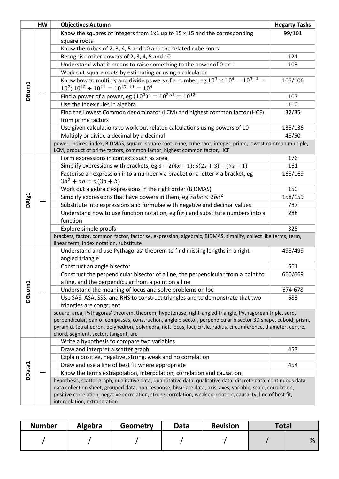|                   | HW | <b>Objectives Autumn</b>                                                                                          | <b>Hegarty Tasks</b> |  |  |  |
|-------------------|----|-------------------------------------------------------------------------------------------------------------------|----------------------|--|--|--|
|                   |    | Know the squares of integers from $1x1$ up to $15 \times 15$ and the corresponding                                | 99/101               |  |  |  |
|                   |    | square roots                                                                                                      |                      |  |  |  |
|                   |    | Know the cubes of 2, 3, 4, 5 and 10 and the related cube roots                                                    |                      |  |  |  |
|                   |    | Recognise other powers of 2, 3, 4, 5 and 10                                                                       | 121                  |  |  |  |
|                   |    | Understand what it means to raise something to the power of 0 or 1                                                | 103                  |  |  |  |
|                   |    | Work out square roots by estimating or using a calculator                                                         |                      |  |  |  |
|                   |    | Know how to multiply and divide powers of a number, eg $10^3 \times 10^4 = 10^{3+4} =$                            | 105/106              |  |  |  |
| DNum1             |    | $10^7$ ; $10^{15} \div 10^{11} = 10^{15-11} = 10^4$                                                               |                      |  |  |  |
|                   |    | Find a power of a power, eg $(10^3)^4 = 10^{3 \times 4} = 10^{12}$                                                | 107                  |  |  |  |
|                   |    | Use the index rules in algebra                                                                                    | 110                  |  |  |  |
|                   |    | Find the Lowest Common denominator (LCM) and highest common factor (HCF)                                          | 32/35                |  |  |  |
|                   |    | from prime factors                                                                                                |                      |  |  |  |
|                   |    | Use given calculations to work out related calculations using powers of 10                                        | 135/136              |  |  |  |
|                   |    | Multiply or divide a decimal by a decimal                                                                         | 48/50                |  |  |  |
|                   |    | power, indices, index, BIDMAS, square, square root, cube, cube root, integer, prime, lowest common multiple,      |                      |  |  |  |
|                   |    | LCM, product of prime factors, common factor, highest common factor, HCF                                          |                      |  |  |  |
|                   |    | Form expressions in contexts such as area                                                                         | 176                  |  |  |  |
|                   |    | Simplify expressions with brackets, eg $3 - 2(4x - 1)$ ; $5(2x + 3) - (7x - 1)$                                   | 161                  |  |  |  |
|                   |    | Factorise an expression into a number $\times$ a bracket or a letter $\times$ a bracket, eg                       | 168/169              |  |  |  |
|                   |    | $3a^2 + ab = a(3a + b)$                                                                                           |                      |  |  |  |
|                   |    | Work out algebraic expressions in the right order (BIDMAS)                                                        | 150                  |  |  |  |
| DAI <sub>g1</sub> |    | Simplify expressions that have powers in them, eg $3abc \times 2bc^2$                                             | 158/159              |  |  |  |
|                   |    | Substitute into expressions and formulae with negative and decimal values                                         | 787                  |  |  |  |
|                   |    | Understand how to use function notation, eg $f(x)$ and substitute numbers into a                                  | 288                  |  |  |  |
|                   |    | function                                                                                                          |                      |  |  |  |
|                   |    | Explore simple proofs                                                                                             | 325                  |  |  |  |
|                   |    | brackets, factor, common factor, factorise, expression, algebraic, BIDMAS, simplify, collect like terms, term,    |                      |  |  |  |
|                   |    | linear term, index notation, substitute                                                                           |                      |  |  |  |
|                   |    | Understand and use Pythagoras' theorem to find missing lengths in a right-<br>angled triangle                     | 498/499              |  |  |  |
|                   |    |                                                                                                                   | 661                  |  |  |  |
|                   |    | Construct an angle bisector<br>Construct the perpendicular bisector of a line, the perpendicular from a point to  | 660/669              |  |  |  |
|                   |    | a line, and the perpendicular from a point on a line                                                              |                      |  |  |  |
|                   |    | Understand the meaning of locus and solve problems on loci                                                        | 674-678              |  |  |  |
| DGeom1            |    | Use SAS, ASA, SSS, and RHS to construct triangles and to demonstrate that two                                     | 683                  |  |  |  |
|                   |    | triangles are congruent                                                                                           |                      |  |  |  |
|                   |    | square, area, Pythagoras' theorem, theorem, hypotenuse, right-angled triangle, Pythagorean triple, surd,          |                      |  |  |  |
|                   |    | perpendicular, pair of compasses, construction, angle bisector, perpendicular bisector 3D shape, cuboid, prism,   |                      |  |  |  |
|                   |    | pyramid, tetrahedron, polyhedron, polyhedra, net, locus, loci, circle, radius, circumference, diameter, centre,   |                      |  |  |  |
|                   |    | chord, segment, sector, tangent, arc                                                                              |                      |  |  |  |
|                   |    | Write a hypothesis to compare two variables                                                                       |                      |  |  |  |
|                   |    | Draw and interpret a scatter graph                                                                                | 453                  |  |  |  |
|                   |    | Explain positive, negative, strong, weak and no correlation                                                       |                      |  |  |  |
|                   |    | Draw and use a line of best fit where appropriate                                                                 | 454                  |  |  |  |
| DData1            |    | Know the terms extrapolation, interpolation, correlation and causation.                                           |                      |  |  |  |
|                   |    | hypothesis, scatter graph, qualitative data, quantitative data, qualitative data, discrete data, continuous data, |                      |  |  |  |
|                   |    | data collection sheet, grouped data, non-response, bivariate data, axis, axes, variable, scale, correlation,      |                      |  |  |  |
|                   |    | positive correlation, negative correlation, strong correlation, weak correlation, causality, line of best fit,    |                      |  |  |  |
|                   |    | interpolation, extrapolation                                                                                      |                      |  |  |  |

| <b>Number</b> | Algebra | Geometry | Data | <b>Revision</b> | <b>Total</b> |   |
|---------------|---------|----------|------|-----------------|--------------|---|
|               |         |          |      |                 |              | % |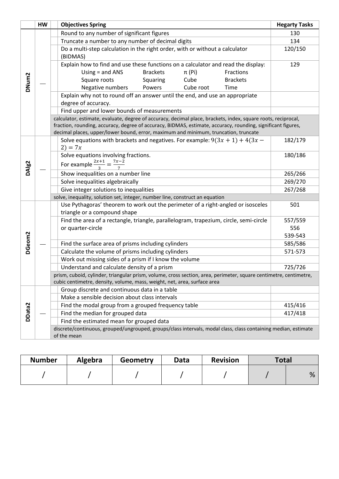|                   | HW | <b>Objectives Spring</b>                                                                                          | <b>Hegarty Tasks</b> |
|-------------------|----|-------------------------------------------------------------------------------------------------------------------|----------------------|
|                   |    | Round to any number of significant figures                                                                        | 130                  |
|                   |    | Truncate a number to any number of decimal digits                                                                 | 134                  |
|                   |    | Do a multi-step calculation in the right order, with or without a calculator<br>(BIDMAS)                          | 120/150              |
|                   |    | Explain how to find and use these functions on a calculator and read the display:                                 | 129                  |
|                   |    | Using $=$ and ANS<br><b>Brackets</b><br>$\pi$ (Pi)<br>Fractions                                                   |                      |
|                   |    | Squaring<br>Cube<br>Square roots<br><b>Brackets</b>                                                               |                      |
| DNum2             |    | Negative numbers<br>Powers<br>Cube root<br>Time                                                                   |                      |
|                   |    | Explain why not to round off an answer until the end, and use an appropriate                                      |                      |
|                   |    | degree of accuracy.                                                                                               |                      |
|                   |    | Find upper and lower bounds of measurements                                                                       |                      |
|                   |    | calculator, estimate, evaluate, degree of accuracy, decimal place, brackets, index, square roots, reciprocal,     |                      |
|                   |    | fraction, rounding, accuracy, degree of accuracy, BIDMAS, estimate, accuracy, rounding, significant figures,      |                      |
|                   |    | decimal places, upper/lower bound, error, maximum and minimum, truncation, truncate                               |                      |
|                   |    | Solve equations with brackets and negatives. For example: $9(3x + 1) + 4(3x -$                                    | 182/179              |
|                   |    | $2) = 7x$<br>Solve equations involving fractions.                                                                 | 180/186              |
|                   |    |                                                                                                                   |                      |
| DAIg <sub>2</sub> |    | For example $\frac{2x+1}{3} = \frac{7x-2}{7}$                                                                     |                      |
|                   |    | Show inequalities on a number line                                                                                | 265/266              |
|                   |    | Solve inequalities algebraically                                                                                  | 269/270              |
|                   |    | Give integer solutions to inequalities                                                                            | 267/268              |
|                   |    | solve, inequality, solution set, integer, number line, construct an equation                                      |                      |
|                   |    | Use Pythagoras' theorem to work out the perimeter of a right-angled or isosceles                                  | 501                  |
|                   |    | triangle or a compound shape                                                                                      |                      |
|                   |    | Find the area of a rectangle, triangle, parallelogram, trapezium, circle, semi-circle<br>or quarter-circle        | 557/559<br>556       |
|                   |    |                                                                                                                   | 539-543              |
| DGeom2            |    | Find the surface area of prisms including cylinders                                                               | 585/586              |
|                   |    | Calculate the volume of prisms including cylinders                                                                | 571-573              |
|                   |    | Work out missing sides of a prism if I know the volume                                                            |                      |
|                   |    | Understand and calculate density of a prism                                                                       | 725/726              |
|                   |    | prism, cuboid, cylinder, triangular prism, volume, cross section, area, perimeter, square centimetre, centimetre, |                      |
|                   |    | cubic centimetre, density, volume, mass, weight, net, area, surface area                                          |                      |
|                   |    | Group discrete and continuous data in a table                                                                     |                      |
|                   |    | Make a sensible decision about class intervals                                                                    |                      |
|                   |    | Find the modal group from a grouped frequency table                                                               | 415/416              |
| DData2            |    | Find the median for grouped data                                                                                  | 417/418              |
|                   |    | Find the estimated mean for grouped data                                                                          |                      |
|                   |    | discrete/continuous, grouped/ungrouped, groups/class intervals, modal class, class containing median, estimate    |                      |
|                   |    | of the mean                                                                                                       |                      |

| <b>Number</b> | <b>Algebra</b> | Geometry | Data | <b>Revision</b> | <b>Total</b> |   |
|---------------|----------------|----------|------|-----------------|--------------|---|
|               |                |          |      |                 |              | % |